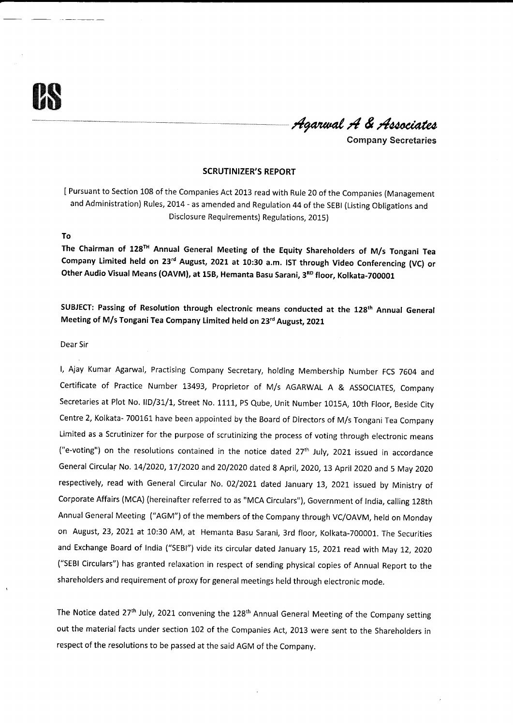Agarwal A & Associates

Company Secretaries

#### SCRUTINIZER'S REPORT

I Pursuant to Section 108 of the Companies Act 2013 read with Rule 20 of the Companies (Management and Administration) Rules, 2014 - as amended and Regulation 44 of the SEBI (Listing Obligations and Disclosure Requirements) Regulations, 2015)

### To

The Chairman of 128<sup>TH</sup> Annual General Meeting of the Equity Shareholders of M/s Tongani Tea Company Limited held on 23<sup>rd</sup> August, 2021 at 10:30 a.m. IST through Video Conferencing (VC) or Other Audio Visual Means (OAVM), at 15B, Hemanta Basu Sarani, 3<sup>RD</sup> floor, Kolkata-700001

SUBJECT: Passing of Resolution through electronic means conducted at the 128<sup>th</sup> Annual General Meeting of M/s Tongani Tea Company Limited held on 23<sup>rd</sup> August, 2021

### Dear Sir

l, Ajay Kumar Agarwal, Practising Company Secretary, holding Membership Number FCS 7604 and Certificate of Practice Number 13493, Proprietor of M/s AGARWAL A & ASSOCIATES, Company Secretaries at Plot No. IID/31/1, Street No. 1111, PS Qube, Unit Number 1015A, 10th Floor, Beside City Centre 2, Kolkata- 700161 have been appointed by the Board of Directors of M/s Tongani Tea Company Limited as a Scrutinizer for the purpose of scrutinizing the process of voting through electronic means ("e-voting") on the resolutions contained in the notice dated 27<sup>th</sup> July, 2021 issued in accordance General Circular No. 14/2020, 17/2020 and 20/2020 dated 8 April, 2020, 13 April 2020 and 5 May 2020 respectively, read with General Circular No. 02/2021 dated January 13, 2021 issued by Ministry of Corporate Affairs (MCA) (hereinafter referred to as "MCA Circulars"), Government of India, calling 12gth Annual General Meeting ("AGM") of the members of the Company through VC/OAVM, held on Monday on August, 23, 2021 at 10:30 AM, at Hemanta Basu Sarani, 3rd floor, Kolkata-700001. The Securities and Exchange Board of India ("SEBI") vide its circular dated January 15, 2021 read with May 12, 2020 ("SEBI Circulars") has granted relaxation in respect of sending physical copies of Annual Report to the shareholders and requirement of proxy for general meetings held through electronic mode.

The Notice dated 27<sup>th</sup> July, 2021 convening the 128<sup>th</sup> Annual General Meeting of the Company setting out the material facts under section 102 of the Companies Act, 2013 were sent to the Shareholders in respect of the resolutions to be passed at the said AGM of the Company.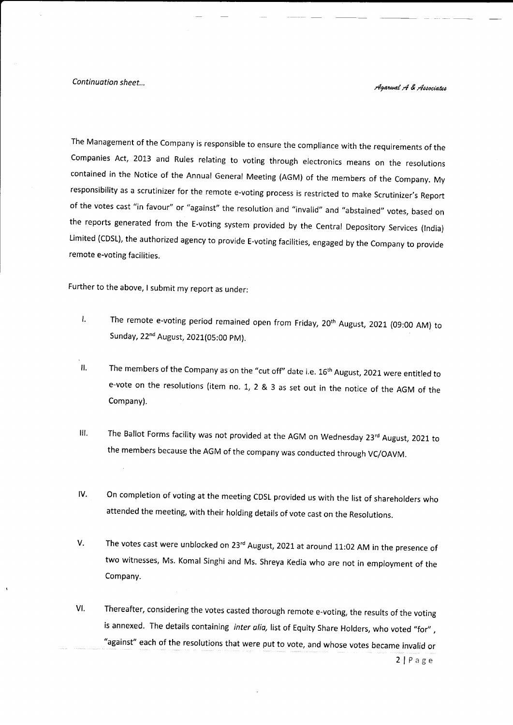Continuation sheet...<br>
Agarwal A & Associates

The Management of the company is responsible to ensure the compliance with the requirements of the companies Act, 2013 and Rules relating to voting through electronics means on the resolutions contained in the Notice of the Annual General Meeting (AGM) of the members of the company. My responsibility as a scrutinizer for the remote e-voting process is restricted to make Scrutinizer's Report of the votes cast "in favour" or "against" the resolution and "invalid" and "abstained" votes, based on the reports generated from the E-voting system provided by the central Depository services (lndia) Limited (cDsL), the authorized agency to provide E-voting facilities, engaged by the company to provide remote e-voting facilities.

Further to the above, I submit my report as under:

- The remote e-voting period remained open from Friday, 20<sup>th</sup> August, 2021 (09:00 AM) to  $\mathbf{L}$ Sunday, 22nd August, 2021(05:00 pM).
- The members of the Company as on the "cut off" date i.e. 16<sup>th</sup> August, 2021 were entitled to e-vote on the resolutions (item no. L, 2 & 3 as set out in the notice of the AGM of the Company). il
- III. The Ballot Forms facility was not provided at the AGM on Wednesday  $23<sup>rd</sup>$  August, 2021 to the members because the AGM of the company was conducted through vc/oAVM.
- On completion of voting at the meeting CDSL provided us with the list of shareholders who attended the meeting, with their holding details of vote cast on the Resolutions. IV
- The votes cast were unblocked on 23<sup>rd</sup> August, 2021 at around 11:02 AM in the presence of two witnesses, Ms. Komal Singhi and Ms. Shreya Kedia who are not in employment of the Company. V
- Thereafter, considering the votes casted thorough remote e-voting, the results of the voting is annexed. The details containing *inter alia,* list of Equity Share Holders, who voted "for", "against" each of the resolutions that were put to vote, and whose votes became invalid or VI

 $2|P \text{age}$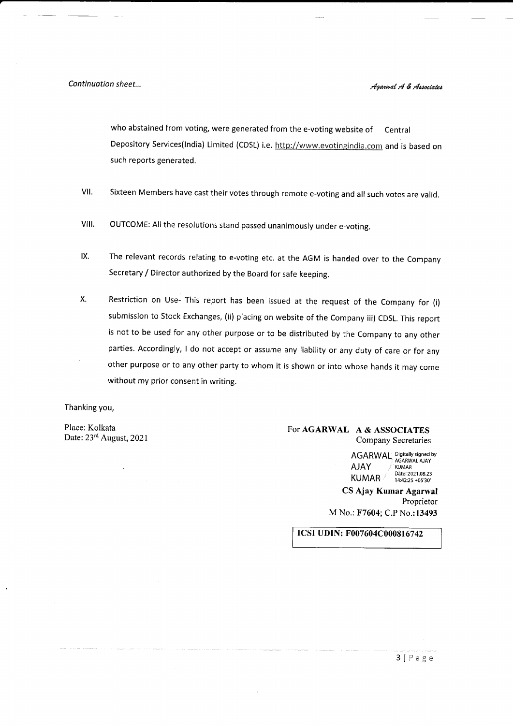Continuation sheet...

who abstained from voting, were generated from the e-voting website of Central Depository Services(India) Limited (CDSL) i.e. http://www.evotingindia.com and is based on such reports generated.

- VII. Sixteen Members have cast their votes through remote e-voting and all such votes are valid.
- VIII. OUTCOME: All the resolutions stand passed unanimously under e-voting.
- The relevant records relating to e-voting etc. at the AGM is handed over to the Company Secretary / Director authorized by the Board for safe keeping. lx.
- Restriction on Use- This report has been issued at the request of the Company for (i) submission to Stock Exchanges, (ii) placing on website of the Company iii) CDSL. This report is not to be used for any other purpose or to be distributed by the Company to any other parties. Accordingly, I do not accept or assume any liability or any duty of care or for any other purpose or to any other party to whom it is shown or into whose hands it may come without my prior consent in writing. X

Thanking you,

Place: Kolkata Date: 23rd August, 2021

# For AGARWAL A & ASSOCIATES Company Secretaries

AGARWAL Digitally signed by<br>AJAY **AGARWAL AJAY** KUMAR <sup>Date:2021.08.23</sup> CS Ajay Kumar Agarwal Proprietor

M No.: F7604; C.P No.:13493

ICSI UDIN: F007604C000816742

 $3$  | P a g e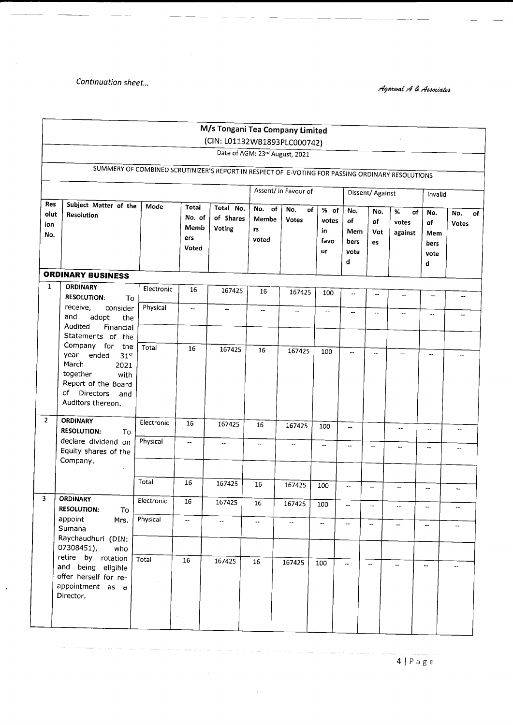Continuation sheet...

 $\bar{1}$ 

Agarwal A & Associates

|                           |                                                                                                                                                                    |            |                                         | M/s Tongani Tea Company Limited  |                                |                           |                                          |                                       |                          |                             |                                       |                          |
|---------------------------|--------------------------------------------------------------------------------------------------------------------------------------------------------------------|------------|-----------------------------------------|----------------------------------|--------------------------------|---------------------------|------------------------------------------|---------------------------------------|--------------------------|-----------------------------|---------------------------------------|--------------------------|
|                           |                                                                                                                                                                    |            |                                         | (CIN: L01132WB1893PLC000742)     | Date of AGM: 23rd August, 2021 |                           |                                          |                                       |                          |                             |                                       |                          |
|                           | SUMMERY OF COMBINED SCRUTINIZER'S REPORT IN RESPECT OF E-VOTING FOR PASSING ORDINARY RESOLUTIONS                                                                   |            |                                         |                                  |                                |                           |                                          |                                       |                          |                             |                                       |                          |
|                           |                                                                                                                                                                    |            |                                         | Assent/ in Favour of             |                                |                           | Dissent/ Against                         |                                       |                          |                             | Invalid                               |                          |
| Res<br>olut<br>ion<br>No. | Subject Matter of the<br>Resolution                                                                                                                                | Mode       | Total<br>No. of<br>Memb<br>ers<br>Voted | Total No.<br>of Shares<br>Voting | No. of<br>Membe<br>rs<br>voted | No.<br>of<br><b>Votes</b> | % of<br>votes<br>in<br>favo<br><b>ur</b> | No.<br>оf<br>Mem<br>bers<br>vote<br>d | No.<br>of<br>Vot<br>es   | %<br>of<br>votes<br>against | No.<br>of<br>Mem<br>bers<br>vote<br>d | No.<br><b>Votes</b>      |
|                           | <b>ORDINARY BUSINESS</b>                                                                                                                                           |            |                                         |                                  |                                |                           |                                          |                                       |                          |                             |                                       |                          |
| $\mathbf{1}$              | <b>ORDINARY</b><br><b>RESOLUTION:</b><br>To                                                                                                                        | Electronic | 16                                      | 167425                           | 16                             | 167425                    | 100                                      | --                                    | $\overline{a}$           | $\overline{\phantom{a}}$    | --                                    | $\overline{\phantom{a}}$ |
|                           | receive,<br>consider<br>and<br>adopt<br>the.<br>Audited<br>Financial<br>Statements of the                                                                          | Physical   | -−                                      | $-$                              | $\overline{\phantom{a}}$       | $\overline{\phantom{a}}$  | $\sim$                                   | $\overline{\phantom{a}}$              | $\ddot{\phantom{a}}$     | $\sim$ $-$                  | --                                    | --                       |
|                           | Company for<br>the<br>year<br>ended<br>31 <sup>st</sup><br>March<br>2021<br>together<br>with<br>Report of the Board<br>оf<br>Directors<br>and<br>Auditors thereon. | Total      | 16                                      | 167425                           | 16                             | 167425                    | 100                                      | $\overline{a}$                        | ш,                       | --                          | ш.                                    |                          |
| $\overline{2}$            | <b>ORDINARY</b><br><b>RESOLUTION:</b><br>To                                                                                                                        | Electronic | 16                                      | 167425                           | 16                             | 167425                    | 100                                      | $\overline{\phantom{a}}$              | $\overline{\phantom{a}}$ | $\sim$                      | ۰.                                    | ۰.                       |
|                           | declare dividend on<br>Equity shares of the<br>Company.                                                                                                            | Physical   | $\overline{\phantom{a}}$                | ۰.                               | ۰.                             | $\overline{\phantom{a}}$  | --                                       | $\overline{a}$                        | $\overline{\phantom{a}}$ |                             | ۰.                                    |                          |
|                           |                                                                                                                                                                    | Total      | 16                                      | 167425                           | 16                             | 167425                    | 100                                      | $\overline{\phantom{a}}$              | $\overline{\phantom{a}}$ | $\overline{a}$              | $\sim$                                | ۰.                       |
| 3                         | <b>ORDINARY</b><br><b>RESOLUTION:</b><br>To                                                                                                                        | Electronic | 16                                      | 167425                           | 16                             | 167425                    | 100                                      |                                       |                          |                             |                                       |                          |
|                           | appoint<br>Mrs.<br>Sumana<br>Raychaudhuri (DIN:<br>07308451),<br>who                                                                                               | Physical   | -−                                      |                                  | --                             | $\overline{\phantom{a}}$  | $\overline{\phantom{a}}$                 | Ξ.                                    | $\overline{\phantom{a}}$ | $\overline{\phantom{a}}$    | $\overline{\phantom{a}}$              |                          |
|                           | retire by rotation<br>and being eligible<br>offer herself for re-<br>appointment as a<br>Director.                                                                 | Total      | 16                                      | 167425                           | 16                             | 167425                    | 100                                      | $\overline{\phantom{a}}$              | $\overline{\phantom{a}}$ | -−                          | $\overline{\phantom{a}}$              | --                       |